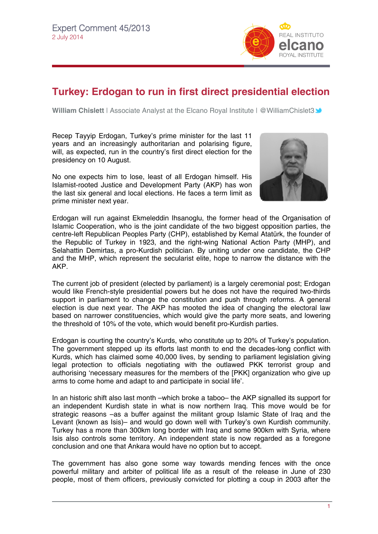

## **Turkey: Erdogan to run in first direct presidential election**

**William Chislett** | Associate Analyst at the Elcano Royal Institute | @WilliamChislet[3](http://twitter.com/rielcano) **→** 

Recep Tayyip Erdogan, Turkey's prime minister for the last 11 years and an increasingly authoritarian and polarising figure, will, as expected, run in the country's first direct election for the presidency on 10 August.

No one expects him to lose, least of all Erdogan himself. His Islamist-rooted Justice and Development Party (AKP) has won the last six general and local elections. He faces a term limit as prime minister next year.



Erdogan will run against Ekmeleddin Ihsanoglu, the former head of the Organisation of Islamic Cooperation, who is the joint candidate of the two biggest opposition parties, the centre-left Republican Peoples Party (CHP), established by Kemal Atatürk, the founder of the Republic of Turkey in 1923, and the right-wing National Action Party (MHP), and Selahattin Demirtas, a pro-Kurdish politician. By uniting under one candidate, the CHP and the MHP, which represent the secularist elite, hope to narrow the distance with the AKP.

The current job of president (elected by parliament) is a largely ceremonial post; Erdogan would like French-style presidential powers but he does not have the required two-thirds support in parliament to change the constitution and push through reforms. A general election is due next year. The AKP has mooted the idea of changing the electoral law based on narrower constituencies, which would give the party more seats, and lowering the threshold of 10% of the vote, which would benefit pro-Kurdish parties.

Erdogan is courting the country's Kurds, who constitute up to 20% of Turkey's population. The government stepped up its efforts last month to end the decades-long conflict with Kurds, which has claimed some 40,000 lives, by sending to parliament legislation giving legal protection to officials negotiating with the outlawed PKK terrorist group and authorising 'necessary measures for the members of the [PKK] organization who give up arms to come home and adapt to and participate in social life'.

In an historic shift also last month –which broke a taboo– the AKP signalled its support for an independent Kurdish state in what is now northern Iraq. This move would be for strategic reasons –as a buffer against the militant group Islamic State of Iraq and the Levant (known as Isis)– and would go down well with Turkey's own Kurdish community. Turkey has a more than 300km long border with Iraq and some 900km with Syria, where Isis also controls some territory. An independent state is now regarded as a foregone conclusion and one that Ankara would have no option but to accept.

The government has also gone some way towards mending fences with the once powerful military and arbiter of political life as a result of the release in June of 230 people, most of them officers, previously convicted for plotting a coup in 2003 after the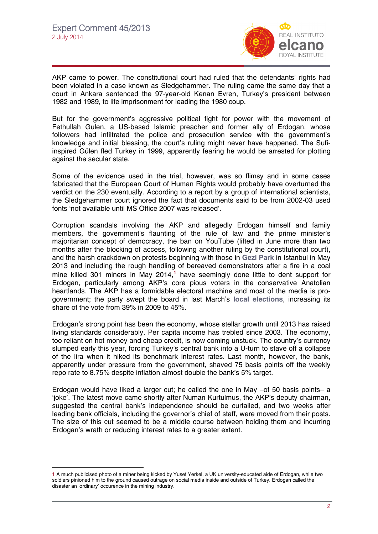$\overline{a}$ 



AKP came to power. The constitutional court had ruled that the defendants' rights had been violated in a case known as Sledgehammer. The ruling came the same day that a court in Ankara sentenced the 97-year-old Kenan Evren, Turkey's president between 1982 and 1989, to life imprisonment for leading the 1980 coup.

But for the government's aggressive political fight for power with the movement of Fethullah Gulen, a US-based Islamic preacher and former ally of Erdogan, whose followers had infiltrated the police and prosecution service with the government's knowledge and initial blessing, the court's ruling might never have happened. The Sufiinspired Gülen fled Turkey in 1999, apparently fearing he would be arrested for plotting against the secular state.

Some of the evidence used in the trial, however, was so flimsy and in some cases fabricated that the European Court of Human Rights would probably have overturned the verdict on the 230 eventually. According to a report by a group of international scientists, the Sledgehammer court ignored the fact that documents said to be from 2002-03 used fonts 'not available until MS Office 2007 was released'.

Corruption scandals involving the AKP and allegedly Erdogan himself and family members, the government's flaunting of the rule of law and the prime minister's majoritarian concept of democracy, the ban on YouTube (lifted in June more than two months after the blocking of access, following another ruling by the constitutional court), and the harsh crackdown on protests beginning with those in **[Gezi Park](http://www.realinstitutoelcano.org/wps/portal/web/rielcano_en/contenido?WCM_GLOBAL_CONTEXT=/elcano/elcano_in/zonas_in/commentary-chislett-turkey-local-elections-erdogan-victory#.U7LEO42Szwc)** in Istanbul in May 2013 and including the rough handling of bereaved demonstrators after a fire in a coal mine killed 301 miners in May 2014,**[1](#page-1-0)** have seemingly done little to dent support for Erdogan, particularly among AKP's core pious voters in the conservative Anatolian heartlands. The AKP has a formidable electoral machine and most of the media is progovernment; the party swept the board in last March's **[local elections](#page-1-0)**, increasing its share of the vote from 39% in 2009 to 45%.

Erdogan's strong point has been the economy, whose stellar growth until 2013 has raised living standards considerably. Per capita income has trebled since 2003. The economy, too reliant on hot money and cheap credit, is now coming unstuck. The country's currency slumped early this year, forcing Turkey's central bank into a U-turn to stave off a collapse of the lira when it hiked its benchmark interest rates. Last month, however, the bank, apparently under pressure from the government, shaved 75 basis points off the weekly repo rate to 8.75% despite inflation almost double the bank's 5% target.

Erdogan would have liked a larger cut; he called the one in May –of 50 basis points– a 'joke'. The latest move came shortly after Numan Kurtulmus, the AKP's deputy chairman, suggested the central bank's independence should be curtailed, and two weeks after leading bank officials, including the governor's chief of staff, were moved from their posts. The size of this cut seemed to be a middle course between holding them and incurring Erdogan's wrath or reducing interest rates to a greater extent.

<span id="page-1-0"></span>**<sup>1</sup>** A much publicised photo of a miner being kicked by Yusef Yerkel, a UK university-educated aide of Erdogan, while two soldiers pinioned him to the ground caused outrage on social media inside and outside of Turkey. Erdogan called the disaster an 'ordinary' occurence in the mining industry.